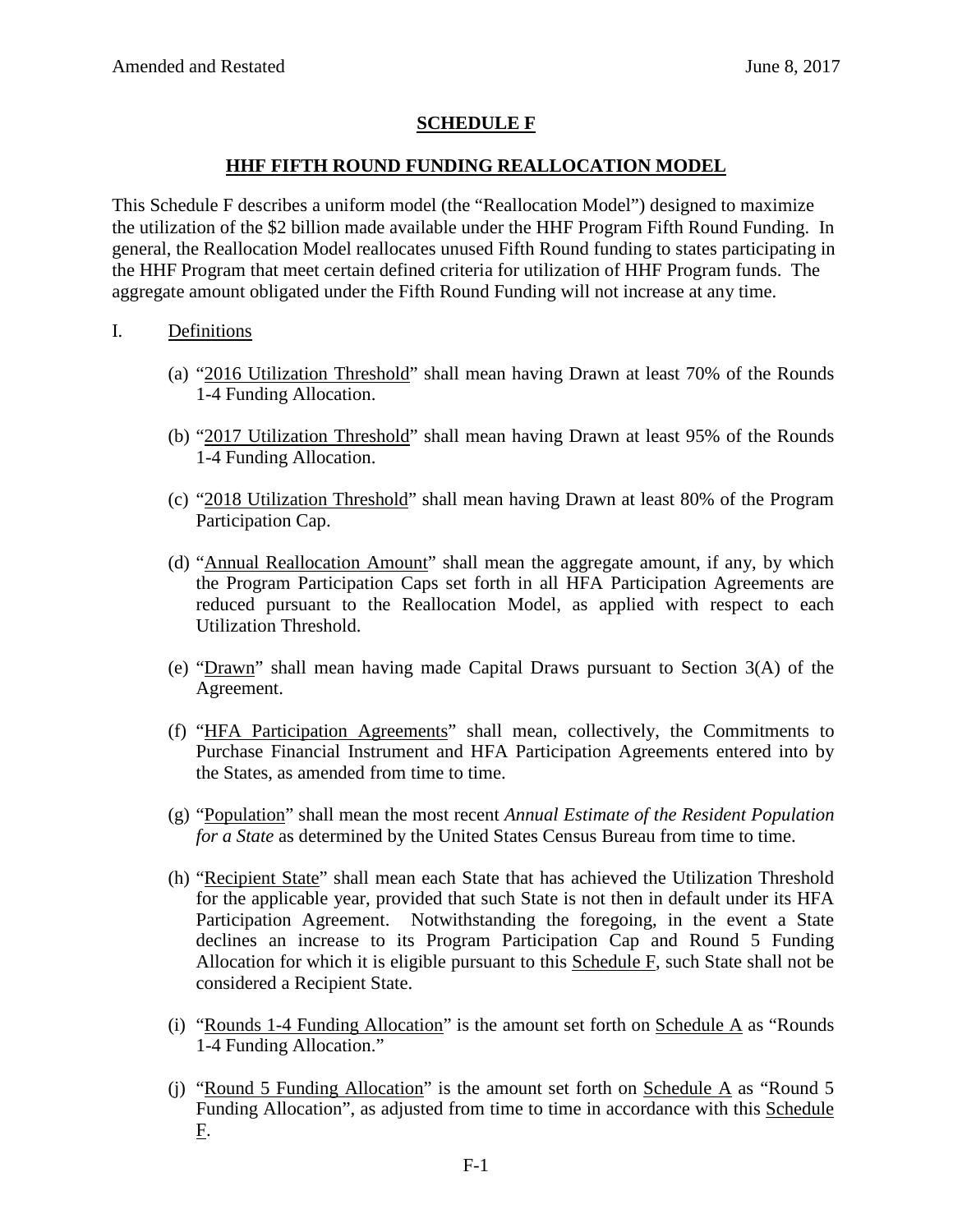# **SCHEDULE F**

# **HHF FIFTH ROUND FUNDING REALLOCATION MODEL**

This Schedule F describes a uniform model (the "Reallocation Model") designed to maximize the utilization of the \$2 billion made available under the HHF Program Fifth Round Funding. In general, the Reallocation Model reallocates unused Fifth Round funding to states participating in the HHF Program that meet certain defined criteria for utilization of HHF Program funds. The aggregate amount obligated under the Fifth Round Funding will not increase at any time.

### I. Definitions

- (a) "2016 Utilization Threshold" shall mean having Drawn at least 70% of the Rounds 1-4 Funding Allocation.
- (b) "2017 Utilization Threshold" shall mean having Drawn at least 95% of the Rounds 1-4 Funding Allocation.
- (c) "2018 Utilization Threshold" shall mean having Drawn at least 80% of the Program Participation Cap.
- (d) "Annual Reallocation Amount" shall mean the aggregate amount, if any, by which the Program Participation Caps set forth in all HFA Participation Agreements are reduced pursuant to the Reallocation Model, as applied with respect to each Utilization Threshold.
- (e) "Drawn" shall mean having made Capital Draws pursuant to Section 3(A) of the Agreement.
- (f) "HFA Participation Agreements" shall mean, collectively, the Commitments to Purchase Financial Instrument and HFA Participation Agreements entered into by the States, as amended from time to time.
- (g) "Population" shall mean the most recent *Annual Estimate of the Resident Population for a State* as determined by the United States Census Bureau from time to time.
- (h) "Recipient State" shall mean each State that has achieved the Utilization Threshold for the applicable year, provided that such State is not then in default under its HFA Participation Agreement. Notwithstanding the foregoing, in the event a State declines an increase to its Program Participation Cap and Round 5 Funding Allocation for which it is eligible pursuant to this  $S$ chedule  $F$ , such State shall not be considered a Recipient State.
- (i) "Rounds 1-4 Funding Allocation" is the amount set forth on Schedule A as "Rounds 1-4 Funding Allocation."
- (j) "Round 5 Funding Allocation" is the amount set forth on Schedule A as "Round 5 Funding Allocation", as adjusted from time to time in accordance with this Schedule F.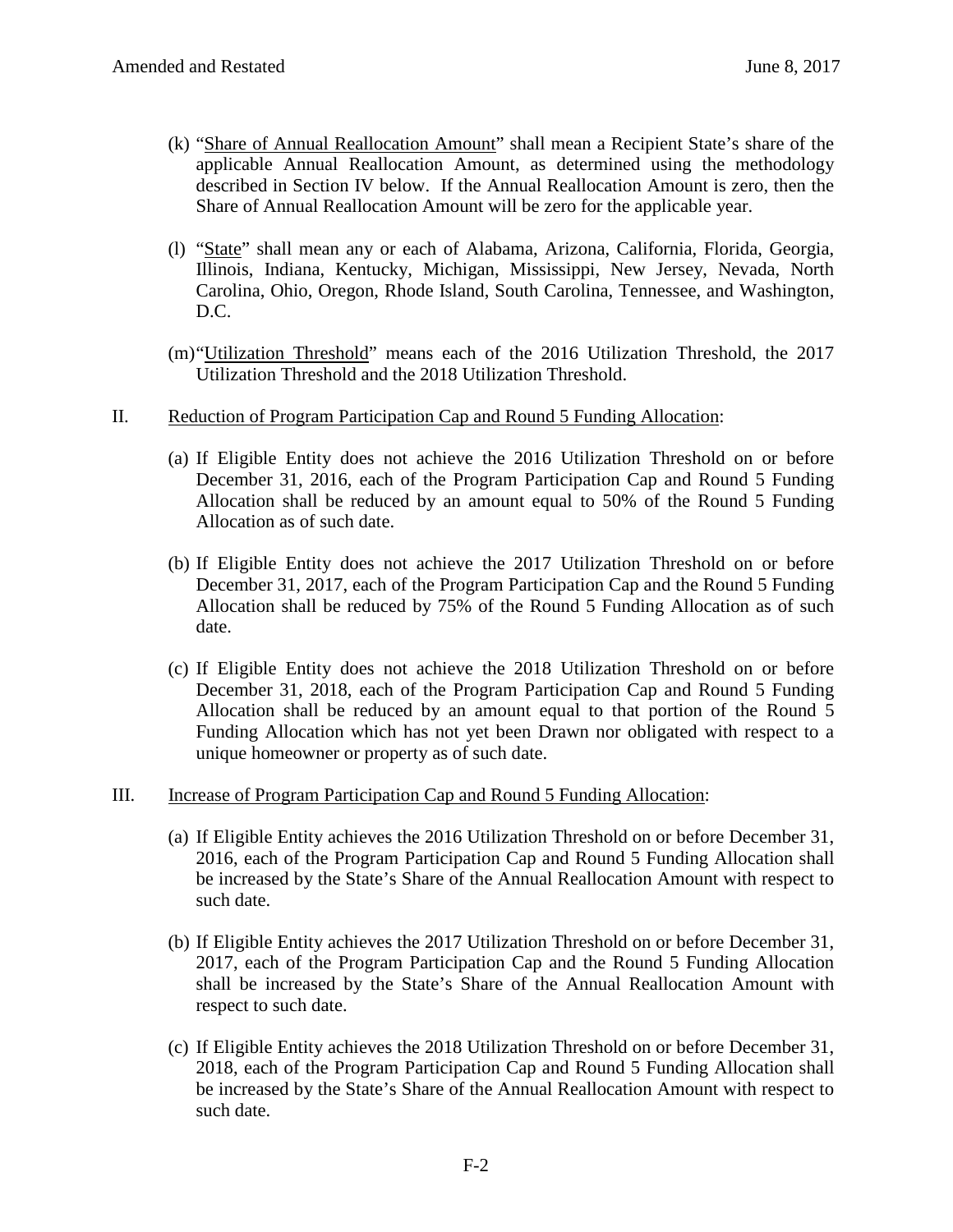- (k) "Share of Annual Reallocation Amount" shall mean a Recipient State's share of the applicable Annual Reallocation Amount, as determined using the methodology described in Section IV below. If the Annual Reallocation Amount is zero, then the Share of Annual Reallocation Amount will be zero for the applicable year.
- (l) "State" shall mean any or each of Alabama, Arizona, California, Florida, Georgia, Illinois, Indiana, Kentucky, Michigan, Mississippi, New Jersey, Nevada, North Carolina, Ohio, Oregon, Rhode Island, South Carolina, Tennessee, and Washington, D.C.
- (m)"Utilization Threshold" means each of the 2016 Utilization Threshold, the 2017 Utilization Threshold and the 2018 Utilization Threshold.

#### II. Reduction of Program Participation Cap and Round 5 Funding Allocation:

- (a) If Eligible Entity does not achieve the 2016 Utilization Threshold on or before December 31, 2016, each of the Program Participation Cap and Round 5 Funding Allocation shall be reduced by an amount equal to 50% of the Round 5 Funding Allocation as of such date.
- (b) If Eligible Entity does not achieve the 2017 Utilization Threshold on or before December 31, 2017, each of the Program Participation Cap and the Round 5 Funding Allocation shall be reduced by 75% of the Round 5 Funding Allocation as of such date.
- (c) If Eligible Entity does not achieve the 2018 Utilization Threshold on or before December 31, 2018, each of the Program Participation Cap and Round 5 Funding Allocation shall be reduced by an amount equal to that portion of the Round 5 Funding Allocation which has not yet been Drawn nor obligated with respect to a unique homeowner or property as of such date.

#### III. Increase of Program Participation Cap and Round 5 Funding Allocation:

- (a) If Eligible Entity achieves the 2016 Utilization Threshold on or before December 31, 2016, each of the Program Participation Cap and Round 5 Funding Allocation shall be increased by the State's Share of the Annual Reallocation Amount with respect to such date.
- (b) If Eligible Entity achieves the 2017 Utilization Threshold on or before December 31, 2017, each of the Program Participation Cap and the Round 5 Funding Allocation shall be increased by the State's Share of the Annual Reallocation Amount with respect to such date.
- (c) If Eligible Entity achieves the 2018 Utilization Threshold on or before December 31, 2018, each of the Program Participation Cap and Round 5 Funding Allocation shall be increased by the State's Share of the Annual Reallocation Amount with respect to such date.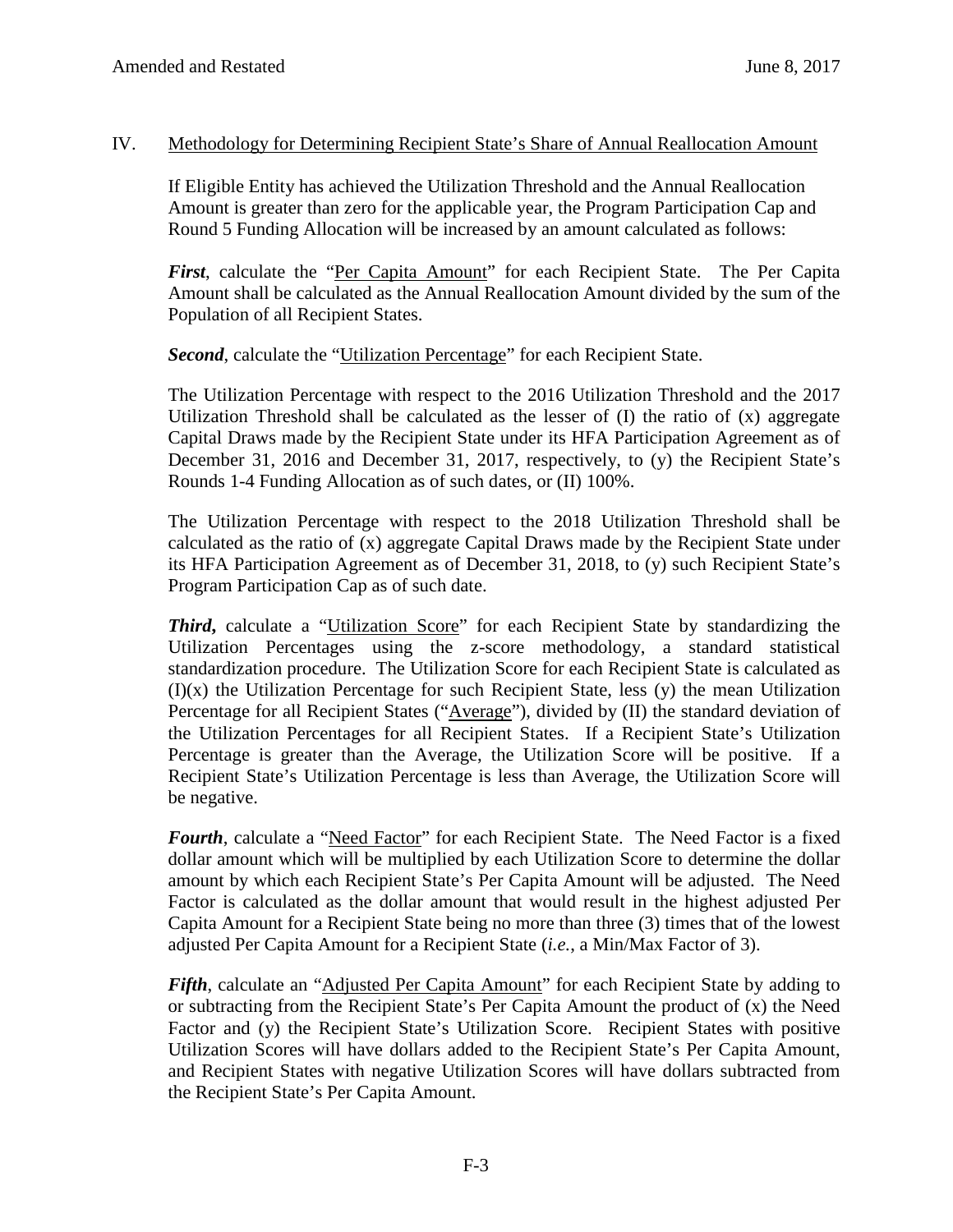### IV. Methodology for Determining Recipient State's Share of Annual Reallocation Amount

If Eligible Entity has achieved the Utilization Threshold and the Annual Reallocation Amount is greater than zero for the applicable year, the Program Participation Cap and Round 5 Funding Allocation will be increased by an amount calculated as follows:

*First*, calculate the "Per Capita Amount" for each Recipient State. The Per Capita Amount shall be calculated as the Annual Reallocation Amount divided by the sum of the Population of all Recipient States.

**Second**, calculate the "Utilization Percentage" for each Recipient State.

The Utilization Percentage with respect to the 2016 Utilization Threshold and the 2017 Utilization Threshold shall be calculated as the lesser of (I) the ratio of (x) aggregate Capital Draws made by the Recipient State under its HFA Participation Agreement as of December 31, 2016 and December 31, 2017, respectively, to (y) the Recipient State's Rounds 1-4 Funding Allocation as of such dates, or (II) 100%.

The Utilization Percentage with respect to the 2018 Utilization Threshold shall be calculated as the ratio of (x) aggregate Capital Draws made by the Recipient State under its HFA Participation Agreement as of December 31, 2018, to (y) such Recipient State's Program Participation Cap as of such date.

*Third*, calculate a "Utilization Score" for each Recipient State by standardizing the Utilization Percentages using the z-score methodology, a standard statistical standardization procedure. The Utilization Score for each Recipient State is calculated as  $(I)(x)$  the Utilization Percentage for such Recipient State, less  $(y)$  the mean Utilization Percentage for all Recipient States ("Average"), divided by (II) the standard deviation of the Utilization Percentages for all Recipient States. If a Recipient State's Utilization Percentage is greater than the Average, the Utilization Score will be positive. If a Recipient State's Utilization Percentage is less than Average, the Utilization Score will be negative.

Fourth, calculate a "Need Factor" for each Recipient State. The Need Factor is a fixed dollar amount which will be multiplied by each Utilization Score to determine the dollar amount by which each Recipient State's Per Capita Amount will be adjusted. The Need Factor is calculated as the dollar amount that would result in the highest adjusted Per Capita Amount for a Recipient State being no more than three (3) times that of the lowest adjusted Per Capita Amount for a Recipient State (*i.e.*, a Min/Max Factor of 3).

*Fifth*, calculate an "*Adjusted Per Capita Amount*" for each Recipient State by adding to or subtracting from the Recipient State's Per Capita Amount the product of (x) the Need Factor and (y) the Recipient State's Utilization Score. Recipient States with positive Utilization Scores will have dollars added to the Recipient State's Per Capita Amount, and Recipient States with negative Utilization Scores will have dollars subtracted from the Recipient State's Per Capita Amount.